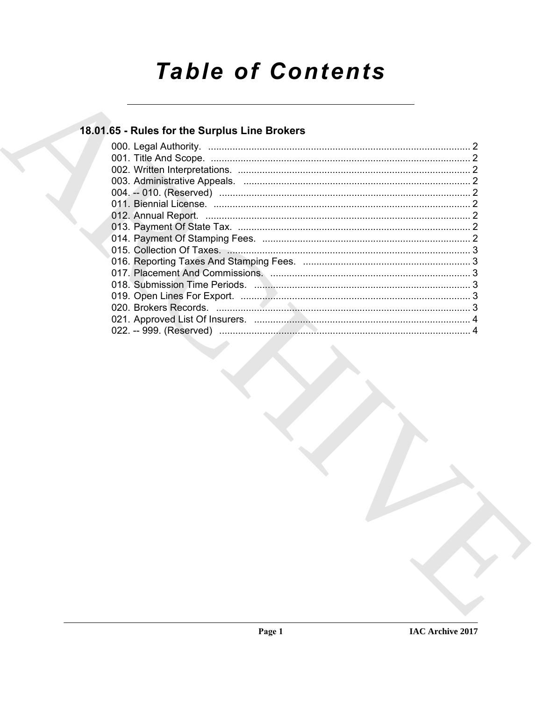# **Table of Contents**

# 18.01.65 - Rules for the Surplus Line Brokers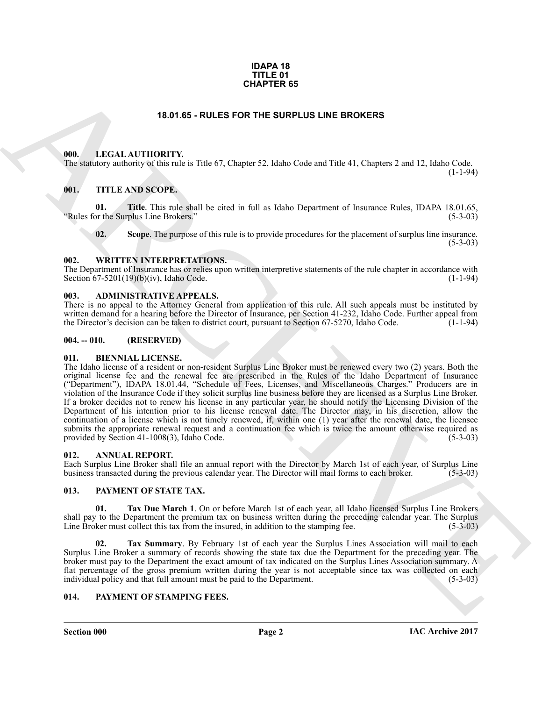#### **IDAPA 18 TITLE 01 CHAPTER 65**

#### **18.01.65 - RULES FOR THE SURPLUS LINE BROKERS**

#### <span id="page-1-1"></span><span id="page-1-0"></span>**000. LEGAL AUTHORITY.**

The statutory authority of this rule is Title 67, Chapter 52, Idaho Code and Title 41, Chapters 2 and 12, Idaho Code.

#### <span id="page-1-2"></span>**001. TITLE AND SCOPE.**

**01. Title**. This rule shall be cited in full as Idaho Department of Insurance Rules, IDAPA 18.01.65, or the Surplus Line Brokers." (5-3-03) "Rules for the Surplus Line Brokers."

**02. Scope**. The purpose of this rule is to provide procedures for the placement of surplus line insurance.  $(5-3-03)$ 

### <span id="page-1-3"></span>**002. WRITTEN INTERPRETATIONS.**

The Department of Insurance has or relies upon written interpretive statements of the rule chapter in accordance with Section  $67-5201(19)(b)(iv)$ , Idaho Code. (1-1-94) Section  $67-5201(19)(b)(iv)$ , Idaho Code.

#### <span id="page-1-4"></span>**003. ADMINISTRATIVE APPEALS.**

There is no appeal to the Attorney General from application of this rule. All such appeals must be instituted by written demand for a hearing before the Director of Insurance, per Section 41-232, Idaho Code. Further appeal from<br>the Director's decision can be taken to district court, pursuant to Section 67-5270, Idaho Code. (1-1-94) the Director's decision can be taken to district court, pursuant to Section 67-5270, Idaho Code.

#### <span id="page-1-5"></span>**004. -- 010. (RESERVED)**

#### <span id="page-1-11"></span><span id="page-1-6"></span>**011. BIENNIAL LICENSE.**

**EXAMPLE RS**<br>
16.81.65 - ROLES FOR THE SURPLUS LINE EROKERS<br>
16.81.65 - ROLES FOR THE SURPLUS LINE EROKERS<br>
16.1. LITTLE AND SCOPE:<br>
16.1. TITLE AND SCOPE:<br>
16.1. TITLE AND SCOPE:<br>
16.1. TITLE AND SCOPE:<br>
16.1. TITLE AND The Idaho license of a resident or non-resident Surplus Line Broker must be renewed every two (2) years. Both the original license fee and the renewal fee are prescribed in the Rules of the Idaho Department of Insurance ("Department"), IDAPA 18.01.44, "Schedule of Fees, Licenses, and Miscellaneous Charges." Producers are in violation of the Insurance Code if they solicit surplus line business before they are licensed as a Surplus Line Broker. If a broker decides not to renew his license in any particular year, he should notify the Licensing Division of the Department of his intention prior to his license renewal date. The Director may, in his discretion, allow the continuation of a license which is not timely renewed, if, within one (1) year after the renewal date, the licensee submits the appropriate renewal request and a continuation fee which is twice the amount otherwise required as provided by Section 41-1008(3), Idaho Code. (5-3-03) provided by Section  $41-1008(3)$ , Idaho Code.

#### <span id="page-1-10"></span><span id="page-1-7"></span>**012. ANNUAL REPORT.**

Each Surplus Line Broker shall file an annual report with the Director by March 1st of each year, of Surplus Line business transacted during the previous calendar year. The Director will mail forms to each broker. (5-3-03) business transacted during the previous calendar year. The Director will mail forms to each broker.

#### <span id="page-1-13"></span><span id="page-1-8"></span>**013. PAYMENT OF STATE TAX.**

<span id="page-1-14"></span>**01. Tax Due March 1**. On or before March 1st of each year, all Idaho licensed Surplus Line Brokers shall pay to the Department the premium tax on business written during the preceding calendar year. The Surplus Line Broker must collect this tax from the insured, in addition to the stamping fee. (5-3-03) Line Broker must collect this tax from the insured, in addition to the stamping fee.

<span id="page-1-15"></span>**02. Tax Summary**. By February 1st of each year the Surplus Lines Association will mail to each Surplus Line Broker a summary of records showing the state tax due the Department for the preceding year. The broker must pay to the Department the exact amount of tax indicated on the Surplus Lines Association summary. A flat percentage of the gross premium written during the year is not acceptable since tax was collected on each individual policy and that full amount must be paid to the Department. (5-3-03) individual policy and that full amount must be paid to the Department.

#### <span id="page-1-12"></span><span id="page-1-9"></span>**014. PAYMENT OF STAMPING FEES.**

**Section 000 Page 2**

 $(1-1-94)$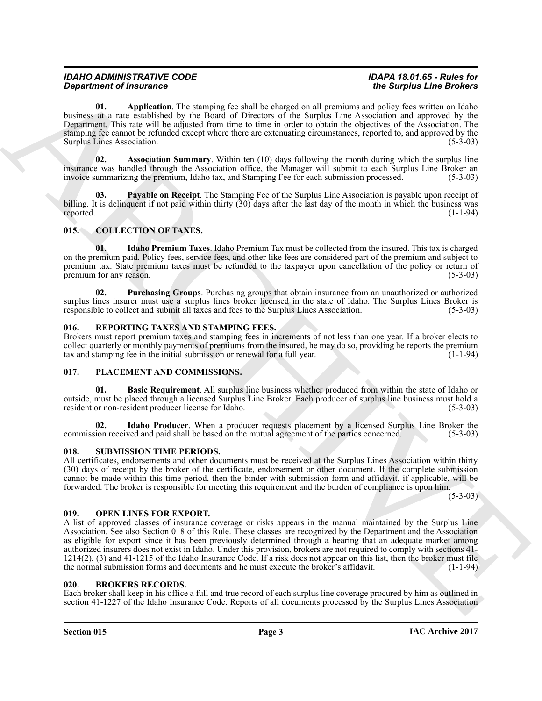| <b>IDAHO ADMINISTRATIVE CODE</b> | IDAPA 18.01.65 - Rules for |
|----------------------------------|----------------------------|
| <b>Department of Insurance</b>   | the Surplus Line Brokers   |

<span id="page-2-11"></span>**01. Application**. The stamping fee shall be charged on all premiums and policy fees written on Idaho business at a rate established by the Board of Directors of the Surplus Line Association and approved by the Department. This rate will be adjusted from time to time in order to obtain the objectives of the Association. The stamping fee cannot be refunded except where there are extenuating circumstances, reported to, and approved by the Surplus Lines Association. (5-3-03)

<span id="page-2-12"></span>**02.** Association Summary. Within ten (10) days following the month during which the surplus line insurance was handled through the Association office, the Manager will submit to each Surplus Line Broker an invoice summarizing the premium, Idaho tax, and Stamping Fee for each submission processed. (5-3-03)

<span id="page-2-13"></span>**03. Payable on Receipt**. The Stamping Fee of the Surplus Line Association is payable upon receipt of billing. It is delinquent if not paid within thirty (30) days after the last day of the month in which the business was reported. reported. (1-1-94)

#### <span id="page-2-7"></span><span id="page-2-0"></span>**015. COLLECTION OF TAXES.**

<span id="page-2-8"></span>**01. Idaho Premium Taxes**. Idaho Premium Tax must be collected from the insured. This tax is charged on the premium paid. Policy fees, service fees, and other like fees are considered part of the premium and subject to premium tax. State premium taxes must be refunded to the taxpayer upon cancellation of the policy or return of premium for any reason. (5-3-03) premium for any reason.

<span id="page-2-9"></span>**02. Purchasing Groups**. Purchasing groups that obtain insurance from an unauthorized or authorized surplus lines insurer must use a surplus lines broker licensed in the state of Idaho. The Surplus Lines Broker is responsible to collect and submit all taxes and fees to the Surplus Lines Association. (5-3-03)

#### <span id="page-2-17"></span><span id="page-2-1"></span>**016. REPORTING TAXES AND STAMPING FEES.**

Brokers must report premium taxes and stamping fees in increments of not less than one year. If a broker elects to collect quarterly or monthly payments of premiums from the insured, he may do so, providing he reports the premium tax and stamping fee in the initial submission or renewal for a full year. (1-1-94) tax and stamping fee in the initial submission or renewal for a full year.

#### <span id="page-2-14"></span><span id="page-2-2"></span>**017. PLACEMENT AND COMMISSIONS.**

<span id="page-2-15"></span>**01. Basic Requirement**. All surplus line business whether produced from within the state of Idaho or outside, must be placed through a licensed Surplus Line Broker. Each producer of surplus line business must hold a resident or non-resident producer license for Idaho.

<span id="page-2-16"></span>**02.** Idaho Producer. When a producer requests placement by a licensed Surplus Line Broker the ion received and paid shall be based on the mutual agreement of the parties concerned. (5-3-03) commission received and paid shall be based on the mutual agreement of the parties concerned.

#### <span id="page-2-18"></span><span id="page-2-3"></span>**018. SUBMISSION TIME PERIODS.**

All certificates, endorsements and other documents must be received at the Surplus Lines Association within thirty (30) days of receipt by the broker of the certificate, endorsement or other document. If the complete submission cannot be made within this time period, then the binder with submission form and affidavit, if applicable, will be forwarded. The broker is responsible for meeting this requirement and the burden of compliance is upon him.

 $(5-3-03)$ 

#### <span id="page-2-10"></span><span id="page-2-4"></span>**019. OPEN LINES FOR EXPORT.**

*Department of Instantino* The simple Recipied by the sample of the simple Recipied Line Books in the simple Recipied Line Recipied Control in the simple Recipied Books in the simple of the simple state of the simple st A list of approved classes of insurance coverage or risks appears in the manual maintained by the Surplus Line Association. See also Section 018 of this Rule. These classes are recognized by the Department and the Association as eligible for export since it has been previously determined through a hearing that an adequate market among authorized insurers does not exist in Idaho. Under this provision, brokers are not required to comply with sections 41-  $1214(2)$ , (3) and  $41-1215$  of the Idaho Insurance Code. If a risk does not appear on this list, then the broker must file the normal submission forms and documents and he must execute the broker's affidavit. (1-1-94) the normal submission forms and documents and he must execute the broker's affidavit.

#### <span id="page-2-6"></span><span id="page-2-5"></span>**020. BROKERS RECORDS.**

Each broker shall keep in his office a full and true record of each surplus line coverage procured by him as outlined in section 41-1227 of the Idaho Insurance Code. Reports of all documents processed by the Surplus Lines Association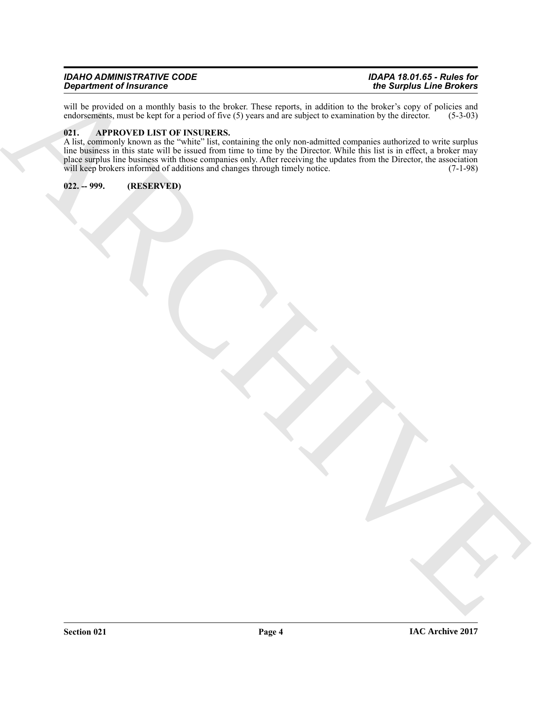| <b>IDAHO ADMINISTRATIVE CODE</b> | IDAPA 18.01.65 - Rules for |
|----------------------------------|----------------------------|
| <b>Department of Insurance</b>   | the Surplus Line Brokers   |

will be provided on a monthly basis to the broker. These reports, in addition to the broker's copy of policies and endorsements, must be kept for a period of five (5) years and are subject to examination by the director. ( endorsements, must be kept for a period of five (5) years and are subject to examination by the director.

#### <span id="page-3-2"></span><span id="page-3-0"></span>**021. APPROVED LIST OF INSURERS.**

ARCHIVE A list, commonly known as the "white" list, containing the only non-admitted companies authorized to write surplus line business in this state will be issued from time to time by the Director. While this list is in effect, a broker may place surplus line business with those companies only. After receiving the updates from the Director, the association will keep brokers informed of additions and changes through timely notice. (7-1-98)

<span id="page-3-1"></span>**022. -- 999. (RESERVED)**